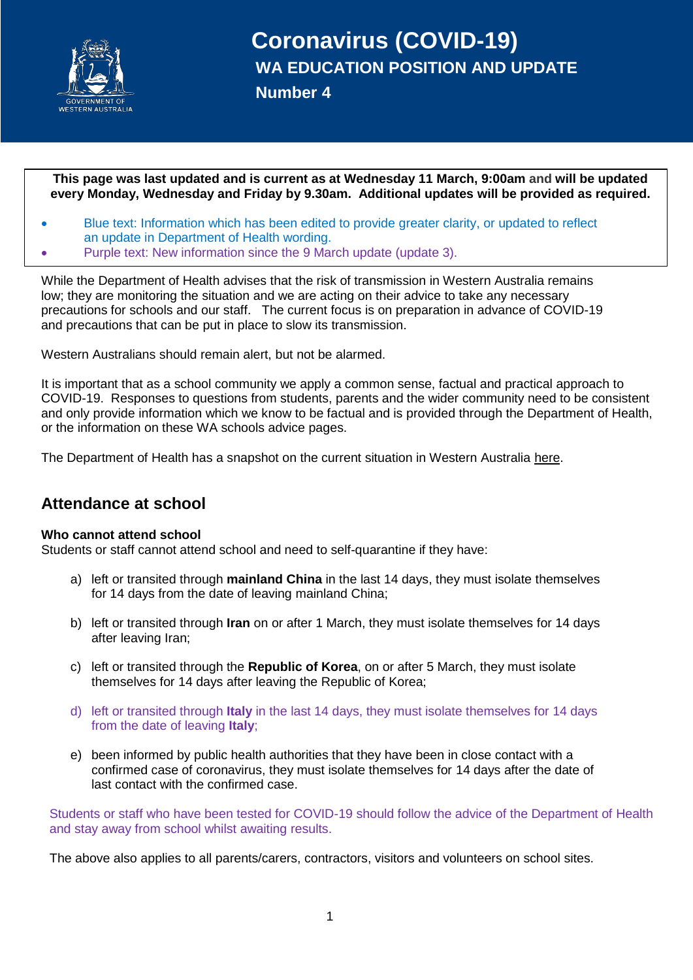

**This page was last updated and is current as at Wednesday 11 March, 9:00am and will be updated every Monday, Wednesday and Friday by 9.30am. Additional updates will be provided as required.**

- Blue text: Information which has been edited to provide greater clarity, or updated to reflect an update in Department of Health wording.
- Purple text: New information since the 9 March update (update 3).

While the Department of Health advises that the risk of transmission in Western Australia remains low; they are monitoring the situation and we are acting on their advice to take any necessary precautions for schools and our staff. The current focus is on preparation in advance of COVID-19 and precautions that can be put in place to slow its transmission.

Western Australians should remain alert, but not be alarmed.

It is important that as a school community we apply a common sense, factual and practical approach to COVID-19. Responses to questions from students, parents and the wider community need to be consistent and only provide information which we know to be factual and is provided through the Department of Health, or the information on these WA schools advice pages.

The Department of Health has a snapshot on the current situation in Western Australia [here.](https://ww2.health.wa.gov.au/~/media/Files/Corporate/general%20documents/Infectious%20diseases/PDF/Coronavirus/COVID19-daily-snapshot.pdf)

## **Attendance at school**

#### **Who cannot attend school**

Students or staff cannot attend school and need to self-quarantine if they have:

- a) left or transited through **mainland China** in the last 14 days, they must isolate themselves for 14 days from the date of leaving mainland China;
- b) left or transited through **Iran** on or after 1 March, they must isolate themselves for 14 days after leaving Iran;
- c) left or transited through the **Republic of Korea**, on or after 5 March, they must isolate themselves for 14 days after leaving the Republic of Korea;
- d) left or transited through **Italy** in the last 14 days, they must isolate themselves for 14 days from the date of leaving **Italy**;
- e) been informed by public health authorities that they have been in close contact with a confirmed case of coronavirus, they must isolate themselves for 14 days after the date of last contact with the confirmed case.

Students or staff who have been tested for COVID-19 should follow the advice of the Department of Health and stay away from school whilst awaiting results.

The above also applies to all parents/carers, contractors, visitors and volunteers on school sites.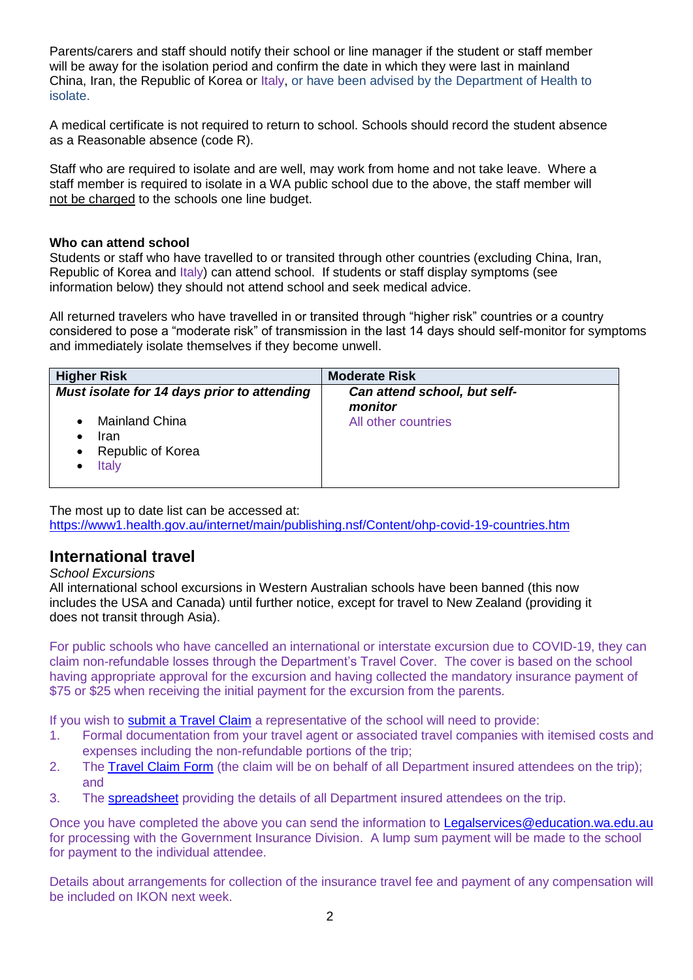Parents/carers and staff should notify their school or line manager if the student or staff member will be away for the isolation period and confirm the date in which they were last in mainland China, Iran, the Republic of Korea or Italy, or have been advised by the Department of Health to isolate.

A medical certificate is not required to return to school. Schools should record the student absence as a Reasonable absence (code R).

Staff who are required to isolate and are well, may work from home and not take leave. Where a staff member is required to isolate in a WA public school due to the above, the staff member will [not be charged](https://ikon.education.wa.edu.au/-/novel-coronavirus-update#toc3) to the schools one line budget.

#### **Who can attend school**

Students or staff who have travelled to or transited through other countries (excluding China, Iran, Republic of Korea and Italy) can attend school. If students or staff display symptoms (see information below) they should not attend school and seek medical advice.

All returned travelers who have travelled in or transited through "higher risk" countries or a country considered to pose a "moderate risk" of transmission in the last 14 days should self-monitor for symptoms and immediately isolate themselves if they become unwell.

| <b>Higher Risk</b>                                                                                                     | <b>Moderate Risk</b>                    |
|------------------------------------------------------------------------------------------------------------------------|-----------------------------------------|
| Must isolate for 14 days prior to attending                                                                            | Can attend school, but self-<br>monitor |
| <b>Mainland China</b><br>$\bullet$<br>Iran<br>$\bullet$<br>Republic of Korea<br>$\bullet$<br><b>Italy</b><br>$\bullet$ | All other countries                     |

The most up to date list can be accessed at:

<https://www1.health.gov.au/internet/main/publishing.nsf/Content/ohp-covid-19-countries.htm>

### **International travel**

#### *School Excursions*

All international school excursions in Western Australian schools have been banned (this now includes the USA and Canada) until further notice, except for travel to New Zealand (providing it does not transit through Asia).

For public schools who have cancelled an international or interstate excursion due to COVID-19, they can claim non-refundable losses through the Department's Travel Cover. The cover is based on the school having appropriate approval for the excursion and having collected the mandatory insurance payment of \$75 or \$25 when receiving the initial payment for the excursion from the parents.

If you wish to [submit a Travel Claim](https://ikon.education.wa.edu.au/-/novel-coronavirus-update#toc5) a representative of the school will need to provide:

- 1. Formal documentation from your travel agent or associated travel companies with itemised costs and expenses including the non-refundable portions of the trip;
- 2. The [Travel Claim Form](https://ikon.education.wa.edu.au/-/novel-coronavirus-update#toc5) (the claim will be on behalf of all Department insured attendees on the trip); and
- 3. The [spreadsheet](https://ikon.education.wa.edu.au/-/novel-coronavirus-update#toc5) providing the details of all Department insured attendees on the trip.

Once you have completed the above you can send the information to [Legalservices@education.wa.edu.au](mailto:Legalservices@education.wa.edu.au)  for processing with the Government Insurance Division. A lump sum payment will be made to the school for payment to the individual attendee.

Details about arrangements for collection of the insurance travel fee and payment of any compensation will be included on IKON next week.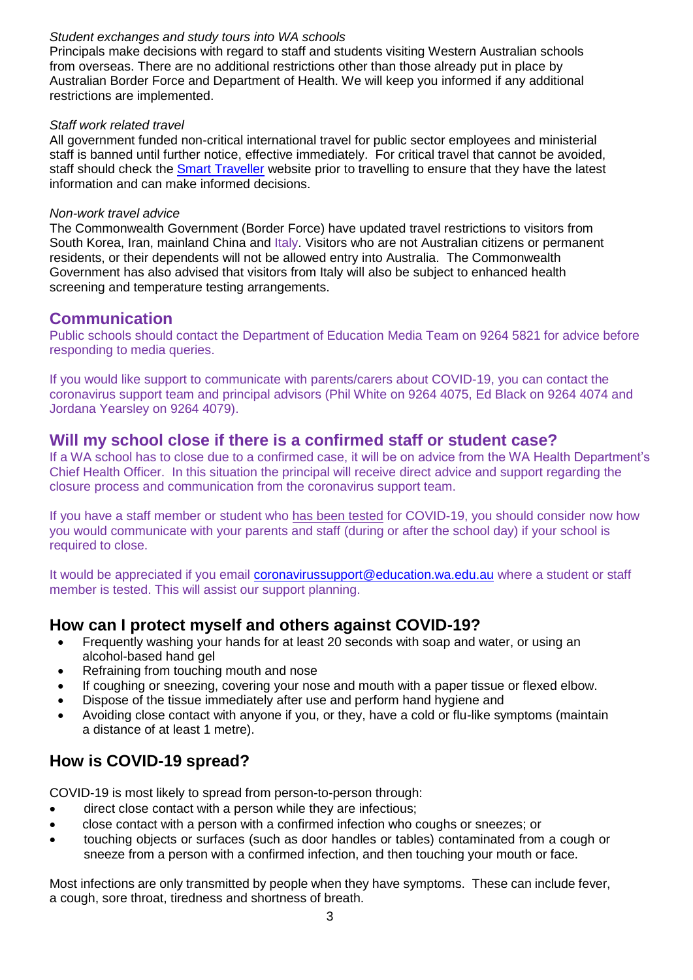### *Student exchanges and study tours into WA schools*

Principals make decisions with regard to staff and students visiting Western Australian schools from overseas. There are no additional restrictions other than those already put in place by Australian Border Force and Department of Health. We will keep you informed if any additional restrictions are implemented.

#### *Staff work related travel*

All government funded non-critical international travel for public sector employees and ministerial staff is banned until further notice, effective immediately. For critical travel that cannot be avoided, staff should check the [Smart Traveller](https://www.smartraveller.gov.au/) website prior to travelling to ensure that they have the latest information and can make informed decisions.

### *Non-work travel advice*

The Commonwealth Government (Border Force) have updated travel restrictions to visitors from South Korea, Iran, mainland China and Italy. Visitors who are not Australian citizens or permanent residents, or their dependents will not be allowed entry into Australia. The Commonwealth Government has also advised that visitors from Italy will also be subject to enhanced health screening and temperature testing arrangements.

### **Communication**

Public schools should contact the Department of Education Media Team on 9264 5821 for advice before responding to media queries.

If you would like support to communicate with parents/carers about COVID-19, you can contact the coronavirus support team and principal advisors (Phil White on 9264 4075, Ed Black on 9264 4074 and Jordana Yearsley on 9264 4079).

## **Will my school close if there is a confirmed staff or student case?**

If a WA school has to close due to a confirmed case, it will be on advice from the WA Health Department's Chief Health Officer. In this situation the principal will receive direct advice and support regarding the closure process and communication from the coronavirus support team.

If you have a staff member or student who has been tested for COVID-19, you should consider now how you would communicate with your parents and staff (during or after the school day) if your school is required to close.

It would be appreciated if you email [coronavirussupport@education.wa.edu.au](mailto:coronavirussupport@education.wa.edu.au) where a student or staff member is tested. This will assist our support planning.

## **How can I protect myself and others against COVID-19?**

- Frequently washing your hands for at least 20 seconds with soap and water, or using an alcohol-based hand gel
- Refraining from touching mouth and nose
- If coughing or sneezing, covering your nose and mouth with a paper tissue or flexed elbow.
- Dispose of the tissue immediately after use and perform hand hygiene and
- Avoiding close contact with anyone if you, or they, have a cold or flu-like symptoms (maintain a distance of at least 1 metre).

# **How is COVID-19 spread?**

COVID-19 is most likely to spread from person-to-person through:

- direct close contact with a person while they are infectious;
- close contact with a person with a confirmed infection who coughs or sneezes; or
- touching objects or surfaces (such as door handles or tables) contaminated from a cough or sneeze from a person with a confirmed infection, and then touching your mouth or face.

Most infections are only transmitted by people when they have symptoms. These can include fever, a cough, sore throat, tiredness and shortness of breath.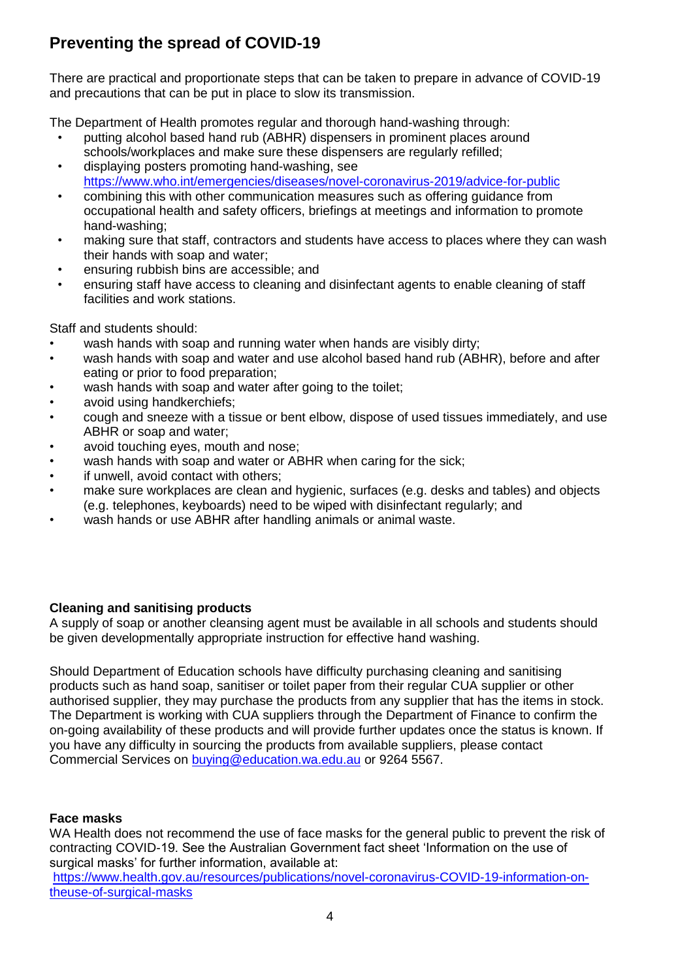# **Preventing the spread of COVID-19**

There are practical and proportionate steps that can be taken to prepare in advance of COVID-19 and precautions that can be put in place to slow its transmission.

The Department of Health promotes regular and thorough hand-washing through:

- putting alcohol based hand rub (ABHR) dispensers in prominent places around schools/workplaces and make sure these dispensers are regularly refilled;
- displaying posters promoting hand-washing, see <https://www.who.int/emergencies/diseases/novel-coronavirus-2019/advice-for-public>
- combining this with other communication measures such as offering guidance from occupational health and safety officers, briefings at meetings and information to promote hand-washing;
- making sure that staff, contractors and students have access to places where they can wash their hands with soap and water;
- ensuring rubbish bins are accessible; and
- ensuring staff have access to cleaning and disinfectant agents to enable cleaning of staff facilities and work stations.

Staff and students should:

- wash hands with soap and running water when hands are visibly dirty;
- wash hands with soap and water and use alcohol based hand rub (ABHR), before and after eating or prior to food preparation;
- wash hands with soap and water after going to the toilet;
- avoid using handkerchiefs;
- cough and sneeze with a tissue or bent elbow, dispose of used tissues immediately, and use ABHR or soap and water;
- avoid touching eyes, mouth and nose;
- wash hands with soap and water or ABHR when caring for the sick;
- if unwell, avoid contact with others;
- make sure workplaces are clean and hygienic, surfaces (e.g. desks and tables) and objects (e.g. telephones, keyboards) need to be wiped with disinfectant regularly; and
- wash hands or use ABHR after handling animals or animal waste.

### **Cleaning and sanitising products**

A supply of soap or another cleansing agent must be available in all schools and students should be given developmentally appropriate instruction for effective hand washing.

Should Department of Education schools have difficulty purchasing cleaning and sanitising products such as hand soap, sanitiser or toilet paper from their regular CUA supplier or other authorised supplier, they may purchase the products from any supplier that has the items in stock. The Department is working with CUA suppliers through the Department of Finance to confirm the on-going availability of these products and will provide further updates once the status is known. If you have any difficulty in sourcing the products from available suppliers, please contact Commercial Services on [buying@education.wa.edu.au](file:///C:/Users/E4016145/AppData/Local/Microsoft/Windows/INetCache/IE/8SGHEP21/buying@education.wa.edu.au) or 9264 5567.

### **Face masks**

WA Health does not recommend the use of face masks for the general public to prevent the risk of contracting COVID-19. See the Australian Government fact sheet 'Information on the use of surgical masks' for further information, available at:

[https://www.health.gov.au/resources/publications/novel-coronavirus-COVID-19-information-on](https://aus01.safelinks.protection.outlook.com/?url=https%3A%2F%2Fwww.health.gov.au%2Fresources%2Fpublications%2Fnovel-coronavirus-COVID-19-information-on-theuse-of-surgical-masks&data=02%7C01%7CMichelle.Brinkworth%40education.wa.edu.au%7C0aa7b34c35104ed5a71a08d7c0d3ba24%7Ce08016f9d1fd4cbb83b0b76eb4361627%7C0%7C0%7C637189887897033316&sdata=YzpAhhlMJC79KjLhJ1wizGff98AYOYg3jC0%2FBIl6gxQ%3D&reserved=0)[theuse-of-surgical-masks](https://aus01.safelinks.protection.outlook.com/?url=https%3A%2F%2Fwww.health.gov.au%2Fresources%2Fpublications%2Fnovel-coronavirus-COVID-19-information-on-theuse-of-surgical-masks&data=02%7C01%7CMichelle.Brinkworth%40education.wa.edu.au%7C0aa7b34c35104ed5a71a08d7c0d3ba24%7Ce08016f9d1fd4cbb83b0b76eb4361627%7C0%7C0%7C637189887897033316&sdata=YzpAhhlMJC79KjLhJ1wizGff98AYOYg3jC0%2FBIl6gxQ%3D&reserved=0)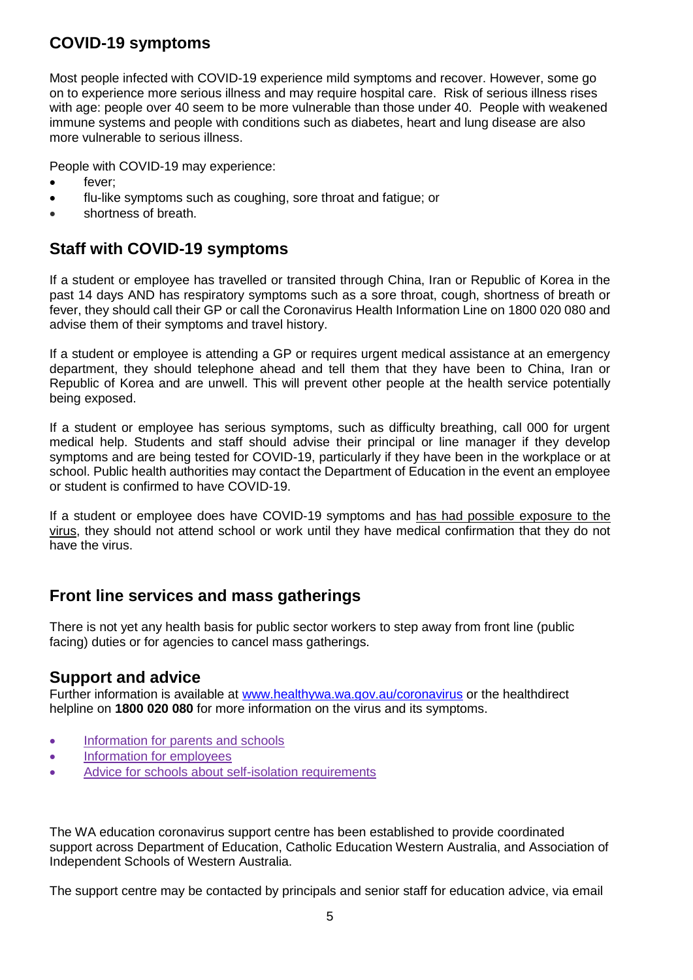# **COVID-19 symptoms**

Most people infected with COVID-19 experience mild symptoms and recover. However, some go on to experience more serious illness and may require hospital care. Risk of serious illness rises with age: people over 40 seem to be more vulnerable than those under 40. People with weakened immune systems and people with conditions such as diabetes, heart and lung disease are also more vulnerable to serious illness.

People with COVID-19 may experience:

- fever;
- flu-like symptoms such as coughing, sore throat and fatigue; or
- shortness of breath.

## **Staff with COVID-19 symptoms**

If a student or employee has travelled or transited through China, Iran or Republic of Korea in the past 14 days AND has respiratory symptoms such as a sore throat, cough, shortness of breath or fever, they should call their GP or call the Coronavirus Health Information Line on 1800 020 080 and advise them of their symptoms and travel history.

If a student or employee is attending a GP or requires urgent medical assistance at an emergency department, they should telephone ahead and tell them that they have been to China, Iran or Republic of Korea and are unwell. This will prevent other people at the health service potentially being exposed.

If a student or employee has serious symptoms, such as difficulty breathing, call 000 for urgent medical help. Students and staff should advise their principal or line manager if they develop symptoms and are being tested for COVID-19, particularly if they have been in the workplace or at school. Public health authorities may contact the Department of Education in the event an employee or student is confirmed to have COVID-19.

If a student or employee does have COVID-19 symptoms and has had possible exposure to the virus, they should not attend school or work until they have medical confirmation that they do not have the virus.

## **Front line services and mass gatherings**

There is not yet any health basis for public sector workers to step away from front line (public facing) duties or for agencies to cancel mass gatherings.

### **Support and advice**

Further information is available at [www.healthywa.wa.gov.au/coronavirus](file:///C:/Users/E4016145/AppData/Local/Microsoft/Windows/INetCache/IE/8SGHEP21/www.healthywa.wa.gov.au/coronavirus) or the healthdirect helpline on **1800 020 080** for more information on the virus and its symptoms.

- [Information for parents and schools](https://ww2.health.wa.gov.au/~/media/Files/Corporate/general%20documents/Infectious%20diseases/PDF/Coronavirus/Coronavirus%20information%20for%20parents%20schools%20and%20early%20childhood%20centres.pdf)
- [Information for employees](https://www.health.gov.au/sites/default/files/documents/2020/03/coronavirus-covid-19-information-for-employers.pdf)
- [Advice for schools about self-isolation requirements](https://ww2.health.wa.gov.au/~/media/Files/Corporate/general%20documents/Infectious%20diseases/PDF/Coronavirus/Coronavirus%20information%20for%20schools%20self%20isolation%20requirement.pdf)

The WA education coronavirus support centre has been established to provide coordinated support across Department of Education, Catholic Education Western Australia, and Association of Independent Schools of Western Australia.

The support centre may be contacted by principals and senior staff for education advice, via email